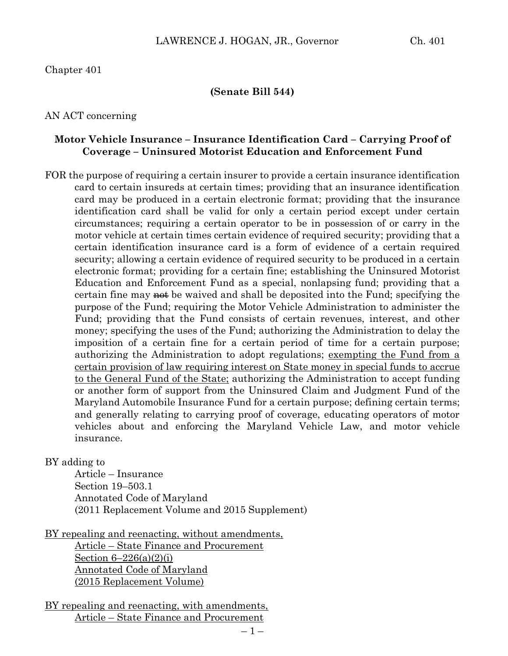Chapter 401

#### **(Senate Bill 544)**

AN ACT concerning

#### **Motor Vehicle Insurance – Insurance Identification Card – Carrying Proof of Coverage – Uninsured Motorist Education and Enforcement Fund**

FOR the purpose of requiring a certain insurer to provide a certain insurance identification card to certain insureds at certain times; providing that an insurance identification card may be produced in a certain electronic format; providing that the insurance identification card shall be valid for only a certain period except under certain circumstances; requiring a certain operator to be in possession of or carry in the motor vehicle at certain times certain evidence of required security; providing that a certain identification insurance card is a form of evidence of a certain required security; allowing a certain evidence of required security to be produced in a certain electronic format; providing for a certain fine; establishing the Uninsured Motorist Education and Enforcement Fund as a special, nonlapsing fund; providing that a certain fine may  $\frac{1}{2}$  be waived and shall be deposited into the Fund; specifying the purpose of the Fund; requiring the Motor Vehicle Administration to administer the Fund; providing that the Fund consists of certain revenues, interest, and other money; specifying the uses of the Fund; authorizing the Administration to delay the imposition of a certain fine for a certain period of time for a certain purpose; authorizing the Administration to adopt regulations; exempting the Fund from a certain provision of law requiring interest on State money in special funds to accrue to the General Fund of the State; authorizing the Administration to accept funding or another form of support from the Uninsured Claim and Judgment Fund of the Maryland Automobile Insurance Fund for a certain purpose; defining certain terms; and generally relating to carrying proof of coverage, educating operators of motor vehicles about and enforcing the Maryland Vehicle Law, and motor vehicle insurance.

BY adding to

Article – Insurance Section 19–503.1 Annotated Code of Maryland (2011 Replacement Volume and 2015 Supplement)

BY repealing and reenacting, without amendments,

Article – State Finance and Procurement Section  $6-226(a)(2)(i)$ Annotated Code of Maryland (2015 Replacement Volume)

BY repealing and reenacting, with amendments, Article – State Finance and Procurement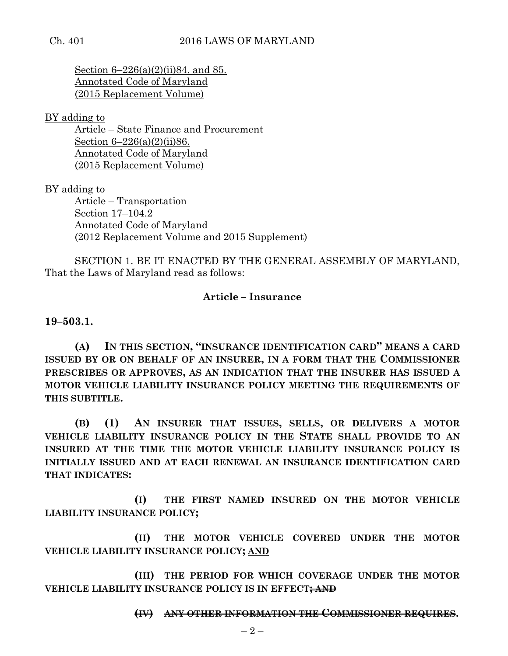Section 6–226(a)(2)(ii)84. and 85. Annotated Code of Maryland (2015 Replacement Volume)

BY adding to

Article – State Finance and Procurement Section 6–226(a)(2)(ii)86. Annotated Code of Maryland (2015 Replacement Volume)

BY adding to

Article – Transportation Section 17–104.2 Annotated Code of Maryland (2012 Replacement Volume and 2015 Supplement)

SECTION 1. BE IT ENACTED BY THE GENERAL ASSEMBLY OF MARYLAND, That the Laws of Maryland read as follows:

## **Article – Insurance**

**19–503.1.**

**(A) IN THIS SECTION, "INSURANCE IDENTIFICATION CARD" MEANS A CARD ISSUED BY OR ON BEHALF OF AN INSURER, IN A FORM THAT THE COMMISSIONER PRESCRIBES OR APPROVES, AS AN INDICATION THAT THE INSURER HAS ISSUED A MOTOR VEHICLE LIABILITY INSURANCE POLICY MEETING THE REQUIREMENTS OF THIS SUBTITLE.**

**(B) (1) AN INSURER THAT ISSUES, SELLS, OR DELIVERS A MOTOR VEHICLE LIABILITY INSURANCE POLICY IN THE STATE SHALL PROVIDE TO AN INSURED AT THE TIME THE MOTOR VEHICLE LIABILITY INSURANCE POLICY IS INITIALLY ISSUED AND AT EACH RENEWAL AN INSURANCE IDENTIFICATION CARD THAT INDICATES:**

**(I) THE FIRST NAMED INSURED ON THE MOTOR VEHICLE LIABILITY INSURANCE POLICY;**

**(II) THE MOTOR VEHICLE COVERED UNDER THE MOTOR VEHICLE LIABILITY INSURANCE POLICY; AND**

**(III) THE PERIOD FOR WHICH COVERAGE UNDER THE MOTOR VEHICLE LIABILITY INSURANCE POLICY IS IN EFFECT; AND**

#### **(IV) ANY OTHER INFORMATION THE COMMISSIONER REQUIRES.**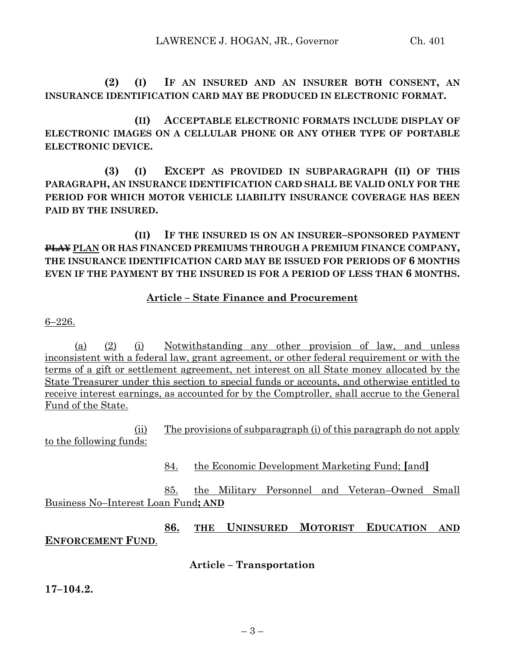**(2) (I) IF AN INSURED AND AN INSURER BOTH CONSENT, AN INSURANCE IDENTIFICATION CARD MAY BE PRODUCED IN ELECTRONIC FORMAT.**

**(II) ACCEPTABLE ELECTRONIC FORMATS INCLUDE DISPLAY OF ELECTRONIC IMAGES ON A CELLULAR PHONE OR ANY OTHER TYPE OF PORTABLE ELECTRONIC DEVICE.**

**(3) (I) EXCEPT AS PROVIDED IN SUBPARAGRAPH (II) OF THIS PARAGRAPH, AN INSURANCE IDENTIFICATION CARD SHALL BE VALID ONLY FOR THE PERIOD FOR WHICH MOTOR VEHICLE LIABILITY INSURANCE COVERAGE HAS BEEN PAID BY THE INSURED.**

**(II) IF THE INSURED IS ON AN INSURER–SPONSORED PAYMENT PLAY PLAN OR HAS FINANCED PREMIUMS THROUGH A PREMIUM FINANCE COMPANY, THE INSURANCE IDENTIFICATION CARD MAY BE ISSUED FOR PERIODS OF 6 MONTHS EVEN IF THE PAYMENT BY THE INSURED IS FOR A PERIOD OF LESS THAN 6 MONTHS.**

## **Article – State Finance and Procurement**

6–226.

(a) (2) (i) Notwithstanding any other provision of law, and unless inconsistent with a federal law, grant agreement, or other federal requirement or with the terms of a gift or settlement agreement, net interest on all State money allocated by the State Treasurer under this section to special funds or accounts, and otherwise entitled to receive interest earnings, as accounted for by the Comptroller, shall accrue to the General Fund of the State.

(ii) The provisions of subparagraph (i) of this paragraph do not apply to the following funds:

84. the Economic Development Marketing Fund; **[**and**]**

85. the Military Personnel and Veteran–Owned Small Business No–Interest Loan Fund**; AND**

**86. THE UNINSURED MOTORIST EDUCATION AND ENFORCEMENT FUND**.

**Article – Transportation**

**17–104.2.**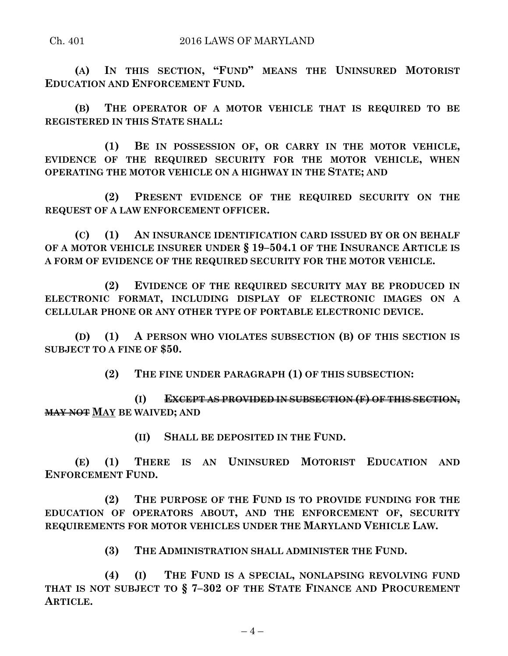**(A) IN THIS SECTION, "FUND" MEANS THE UNINSURED MOTORIST EDUCATION AND ENFORCEMENT FUND.**

**(B) THE OPERATOR OF A MOTOR VEHICLE THAT IS REQUIRED TO BE REGISTERED IN THIS STATE SHALL:**

**(1) BE IN POSSESSION OF, OR CARRY IN THE MOTOR VEHICLE, EVIDENCE OF THE REQUIRED SECURITY FOR THE MOTOR VEHICLE, WHEN OPERATING THE MOTOR VEHICLE ON A HIGHWAY IN THE STATE; AND**

**(2) PRESENT EVIDENCE OF THE REQUIRED SECURITY ON THE REQUEST OF A LAW ENFORCEMENT OFFICER.**

**(C) (1) AN INSURANCE IDENTIFICATION CARD ISSUED BY OR ON BEHALF OF A MOTOR VEHICLE INSURER UNDER § 19–504.1 OF THE INSURANCE ARTICLE IS A FORM OF EVIDENCE OF THE REQUIRED SECURITY FOR THE MOTOR VEHICLE.**

**(2) EVIDENCE OF THE REQUIRED SECURITY MAY BE PRODUCED IN ELECTRONIC FORMAT, INCLUDING DISPLAY OF ELECTRONIC IMAGES ON A CELLULAR PHONE OR ANY OTHER TYPE OF PORTABLE ELECTRONIC DEVICE.**

**(D) (1) A PERSON WHO VIOLATES SUBSECTION (B) OF THIS SECTION IS SUBJECT TO A FINE OF \$50.**

**(2) THE FINE UNDER PARAGRAPH (1) OF THIS SUBSECTION:**

**(I) EXCEPT AS PROVIDED IN SUBSECTION (F) OF THIS SECTION, MAY NOT MAY BE WAIVED; AND** 

**(II) SHALL BE DEPOSITED IN THE FUND.**

**(E) (1) THERE IS AN UNINSURED MOTORIST EDUCATION AND ENFORCEMENT FUND.**

**(2) THE PURPOSE OF THE FUND IS TO PROVIDE FUNDING FOR THE EDUCATION OF OPERATORS ABOUT, AND THE ENFORCEMENT OF, SECURITY REQUIREMENTS FOR MOTOR VEHICLES UNDER THE MARYLAND VEHICLE LAW.**

**(3) THE ADMINISTRATION SHALL ADMINISTER THE FUND.**

**(4) (I) THE FUND IS A SPECIAL, NONLAPSING REVOLVING FUND THAT IS NOT SUBJECT TO § 7–302 OF THE STATE FINANCE AND PROCUREMENT ARTICLE.**